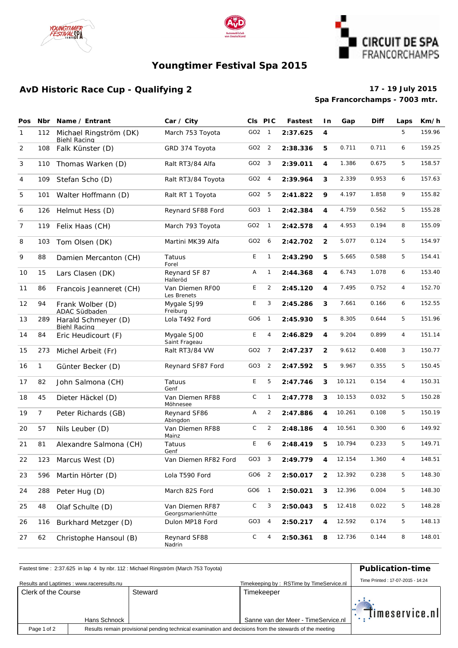

Page 1 of 2





#### **Youngtimer Festival Spa 2015**

### **AvD Historic Race Cup - Qualifying 2 17 - 19 July 2015**

## **Spa Francorchamps - 7003 mtr.**

|              |                |                                            | Car / City                           | CIS PIC         |                | <b>Fastest</b> | I n                     | Gap    | <b>Diff</b> | Laps           | Km/h   |
|--------------|----------------|--------------------------------------------|--------------------------------------|-----------------|----------------|----------------|-------------------------|--------|-------------|----------------|--------|
| $\mathbf{1}$ | 112            | Michael Ringström (DK)<br>Biehl Racing     | March 753 Toyota                     | GO2 1           |                | 2:37.625       | 4                       |        |             | 5              | 159.96 |
| 2            | 108            | Falk Künster (D)                           | GRD 374 Toyota                       | GO2 2           |                | 2:38.336       | 5                       | 0.711  | 0.711       | 6              | 159.25 |
| 3            | 110            | Thomas Warken (D)                          | Ralt RT3/84 Alfa                     | GO2             | 3              | 2:39.011       | 4                       | 1.386  | 0.675       | 5              | 158.57 |
| 4            | 109            | Stefan Scho (D)                            | Ralt RT3/84 Toyota                   | GO2             | 4              | 2:39.964       | 3                       | 2.339  | 0.953       | 6              | 157.63 |
| 5            | 101            | Walter Hoffmann (D)                        | Ralt RT 1 Toyota                     | GO2 5           |                | 2:41.822       | 9                       | 4.197  | 1.858       | 9              | 155.82 |
| 6            | 126            | Helmut Hess (D)                            | Reynard SF88 Ford                    | GO3             | $\overline{1}$ | 2:42.384       | 4                       | 4.759  | 0.562       | 5              | 155.28 |
| 7            | 119            | Felix Haas (CH)                            | March 793 Toyota                     | GO <sub>2</sub> | $\overline{1}$ | 2:42.578       | $\overline{\mathbf{4}}$ | 4.953  | 0.194       | 8              | 155.09 |
| 8            | 103            | Tom Olsen (DK)                             | Martini MK 39 Alfa                   | GO2 6           |                | 2:42.702       | $\overline{2}$          | 5.077  | 0.124       | 5              | 154.97 |
| 9            | 88             | Damien Mercanton (CH)                      | Tatuus<br>Forel                      | E               | $\mathbf{1}$   | 2:43.290       | 5                       | 5.665  | 0.588       | 5              | 154.41 |
| 10           | 15             | Lars Clasen (DK)                           | Reynard SF 87<br>Halleröd            | Α               | $\mathbf{1}$   | 2:44.368       | 4                       | 6.743  | 1.078       | 6              | 153.40 |
| 11           | 86             | Francois Jeanneret (CH)                    | Van Diemen RFOO<br>Les Brenets       | E               | 2              | 2:45.120       | 4                       | 7.495  | 0.752       | $\overline{4}$ | 152.70 |
| 12           | 94             | Frank Wolber (D)<br>ADAC Südbaden          | Mygale SJ99<br>Freiburg              | E               | 3              | 2:45.286       | 3                       | 7.661  | 0.166       | 6              | 152.55 |
| 13           | 289            | Harald Schmeyer (D)<br><b>Biehl Racing</b> | Lola T492 Ford                       | GO6             | $\mathbf{1}$   | 2:45.930       | 5                       | 8.305  | 0.644       | 5              | 151.96 |
| 14           | 84             | Eric Heudicourt (F)                        | Mygale SJ00<br>Saint Frageau         | E               | 4              | 2:46.829       | 4                       | 9.204  | 0.899       | $\overline{4}$ | 151.14 |
| 15           | 273            | Michel Arbeit (Fr)                         | Ralt RT3/84 VW                       | GO2             | $\overline{7}$ | 2:47.237       | $\overline{2}$          | 9.612  | 0.408       | 3              | 150.77 |
| 16           | $\mathbf{1}$   | Günter Becker (D)                          | Reynard SF87 Ford                    | GO3             | $\overline{2}$ | 2:47.592       | 5                       | 9.967  | 0.355       | 5              | 150.45 |
| 17           | 82             | John Salmona (CH)                          | Tatuus<br>Genf                       | E               | 5              | 2:47.746       | 3                       | 10.121 | 0.154       | 4              | 150.31 |
| 18           | 45             | Dieter Häckel (D)                          | Van Diemen RF88<br>Möhnesee          | C               | $\mathbf{1}$   | 2:47.778       | 3                       | 10.153 | 0.032       | 5              | 150.28 |
| 19           | $\overline{7}$ | Peter Richards (GB)                        | Reynard SF86<br>Abingdon             | Α               | $\overline{2}$ | 2:47.886       | 4                       | 10.261 | 0.108       | 5              | 150.19 |
| 20           | 57             | Nils Leuber (D)                            | Van Diemen RF88<br>Mainz             | $\mathsf C$     | $\overline{2}$ | 2:48.186       | 4                       | 10.561 | 0.300       | 6              | 149.92 |
| 21           | 81             | Alexandre Salmona (CH)                     | Tatuus<br>Genf                       | E               | 6              | 2:48.419       | 5                       | 10.794 | 0.233       | 5              | 149.71 |
| 22           |                | 123 Marcus West (D)                        | Van Diemen RF82 Ford                 | GO3             | 3              | 2:49.779       | 4                       | 12.154 | 1.360       | 4              | 148.51 |
| 23           | 596            | Martin Hörter (D)                          | Lola T590 Ford                       | GO6 2           |                | 2:50.017       | 2                       | 12.392 | 0.238       | 5              | 148.30 |
| 24           | 288            | Peter Hug (D)                              | March 82S Ford                       | GO6             | $\mathbf{1}$   | 2:50.021       | 3                       | 12.396 | 0.004       | 5              | 148.30 |
| 25           | 48             | Olaf Schulte (D)                           | Van Diemen RF87<br>Georgsmarienhütte | $\mathsf C$     | 3              | 2:50.043       | 5                       | 12.418 | 0.022       | 5              | 148.28 |
| 26           | 116            | Burkhard Metzger (D)                       | Dulon MP18 Ford                      | GO3             | 4              | 2:50.217       | 4                       | 12.592 | 0.174       | 5              | 148.13 |
| 27           | 62             | Christophe Hansoul (B)                     | Reynard SF88<br>Nadrin               | $\mathsf C$     | 4              | 2:50.361       | 8                       | 12.736 | 0.144       | 8              | 148.01 |

#### Fastest time : 2:37.625 in lap 4 by nbr. 112 : Michael Ringström (March 753 Toyota) **Publication-time** Time Printed : 17-07-2015 - 14:24Results and Laptimes : www.raceresults.nu **The Service and Transfer and Transfer and Transfervice.nu** Time keeping by : RSTime by TimeService.nl Clerk of the Course Steward Steward Steward Steward Timekeeper  $\mathbb{R}$ imeservice.nl Hans Schnock | Sanne van der Meer - TimeService.nl

Results remain provisional pending technical examination and decisions from the stewards of the meeting